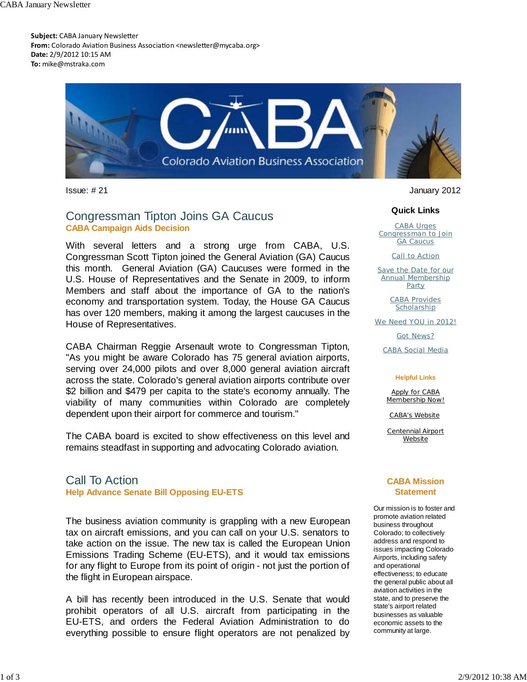**Subject:** CABA January Newsletter From: Colorado Aviation Business Association <newsletter@mycaba.org> **Date:** 2/9/2012 10:15 AM **To:** mike@mstraka.com



## Congressman Tipton Joins GA Caucus **CABA Campaign Aids Decision**

With several letters and a strong urge from CABA, U.S. Congressman Scott Tipton joined the General Aviation (GA) Caucus this month. General Aviation (GA) Caucuses were formed in the U.S. House of Representatives and the Senate in 2009, to inform Members and staff about the importance of GA to the nation's economy and transportation system. Today, the House GA Caucus has over 120 members, making it among the largest caucuses in the House of Representatives.

CABA Chairman Reggie Arsenault wrote to Congressman Tipton, "As you might be aware Colorado has 75 general aviation airports, serving over 24,000 pilots and over 8,000 general aviation aircraft across the state. Colorado's general aviation airports contribute over \$2 billion and \$479 per capita to the state's economy annually. The viability of many communities within Colorado are completely dependent upon their airport for commerce and tourism."

The CABA board is excited to show effectiveness on this level and remains steadfast in supporting and advocating Colorado aviation.

### Call To Action **Help Advance Senate Bill Opposing EU-ETS**

The business aviation community is grappling with a new European tax on aircraft emissions, and you can call on your U.S. senators to take action on the issue. The new tax is called the European Union Emissions Trading Scheme (EU-ETS), and it would tax emissions for any flight to Europe from its point of origin - not just the portion of the flight in European airspace.

A bill has recently been introduced in the U.S. Senate that would prohibit operators of all U.S. aircraft from participating in the EU-ETS, and orders the Federal Aviation Administration to do everything possible to ensure flight operators are not penalized by

Issue: # 21 January 2012

### **Quick Links**

CABA Urges Congressman to Join **GA Caucus** 

Call to Action

Save the Date for our Annual Membership **Party** 

> CABA Provides **Scholarship**

We Need YOU in 2012!

Got News?

CABA Social Media

#### **Helpful Links**

Apply for CABA Membership Now!

CABA's Website

Centennial Airport Website

### **CABA Mission Statement**

Our mission is to foster and promote aviation related business throughout Colorado; to collectively address and respond to issues impacting Colorado Airports, including safety and operational effectiveness; to educate the general public about all aviation activities in the state, and to preserve the state's airport related businesses as valuable economic assets to the community at large.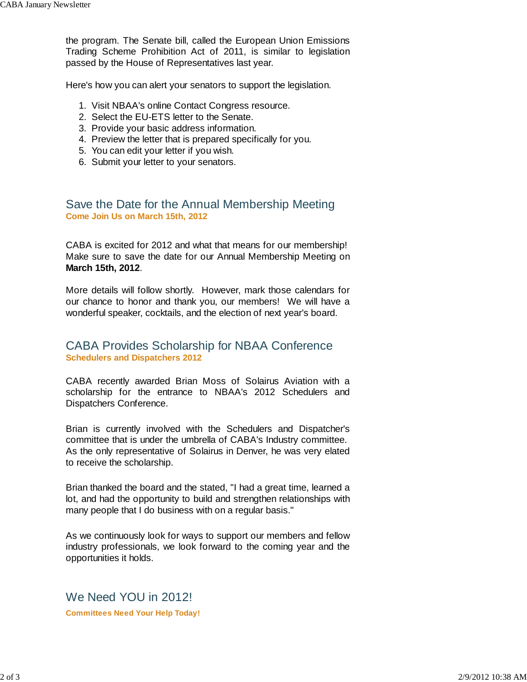the program. The Senate bill, called the European Union Emissions Trading Scheme Prohibition Act of 2011, is similar to legislation passed by the House of Representatives last year.

Here's how you can alert your senators to support the legislation.

- 1. Visit NBAA's online Contact Congress resource.
- 2. Select the EU-ETS letter to the Senate.
- 3. Provide your basic address information.
- 4. Preview the letter that is prepared specifically for you.
- 5. You can edit your letter if you wish.
- 6. Submit your letter to your senators.

### Save the Date for the Annual Membership Meeting **Come Join Us on March 15th, 2012**

CABA is excited for 2012 and what that means for our membership! Make sure to save the date for our Annual Membership Meeting on **March 15th, 2012**.

More details will follow shortly. However, mark those calendars for our chance to honor and thank you, our members! We will have a wonderful speaker, cocktails, and the election of next year's board.

### CABA Provides Scholarship for NBAA Conference **Schedulers and Dispatchers 2012**

CABA recently awarded Brian Moss of Solairus Aviation with a scholarship for the entrance to NBAA's 2012 Schedulers and Dispatchers Conference.

Brian is currently involved with the Schedulers and Dispatcher's committee that is under the umbrella of CABA's Industry committee. As the only representative of Solairus in Denver, he was very elated to receive the scholarship.

Brian thanked the board and the stated, "I had a great time, learned a lot, and had the opportunity to build and strengthen relationships with many people that I do business with on a regular basis."

As we continuously look for ways to support our members and fellow industry professionals, we look forward to the coming year and the opportunities it holds.

We Need YOU in 2012! **Committees Need Your Help Today!**